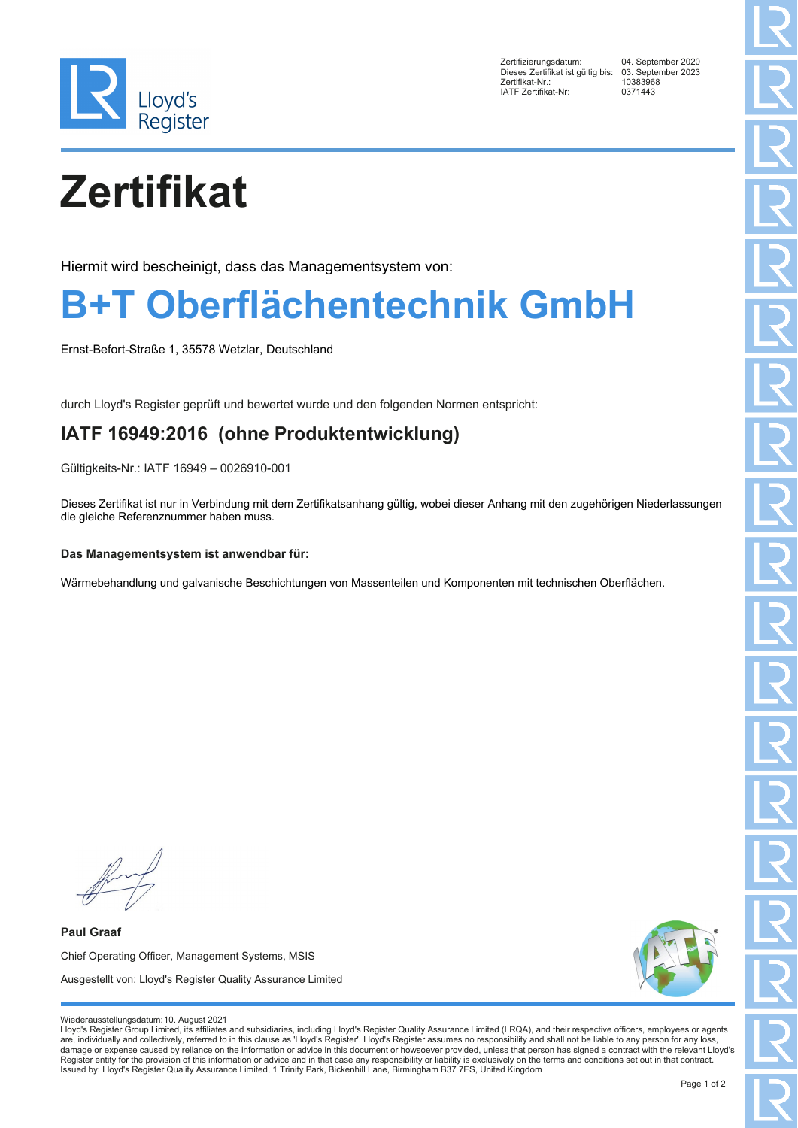

Zertifizierungsdatum: 04. September 2020 Dieses Zertifikat ist gültig bis: 03. Septer<br>Zertifikat-Nr.: 10383968 zertifikat-Nr.: 1038396<br>
IATF Zertifikat-Nr: 0371443 IATF Zertifikat-Nr:

# **Zertifikat**

Hiermit wird bescheinigt, dass das Managementsystem von:

### **B+T Oberflächentechnik GmbH**

Ernst-Befort-Straße 1, 35578 Wetzlar, Deutschland

durch Lloyd's Register geprüft und bewertet wurde und den folgenden Normen entspricht:

### **IATF 16949:2016 (ohne Produktentwicklung)**

Gültigkeits-Nr.: IATF 16949 – 0026910-001

Dieses Zertifikat ist nur in Verbindung mit dem Zertifikatsanhang gültig, wobei dieser Anhang mit den zugehörigen Niederlassungen die gleiche Referenznummer haben muss.

#### **Das Managementsystem ist anwendbar für:**

Wärmebehandlung und galvanische Beschichtungen von Massenteilen und Komponenten mit technischen Oberflächen.

**Paul Graaf** Chief Operating Officer, Management Systems, MSIS Ausgestellt von: Lloyd's Register Quality Assurance Limited



#### Wiederausstellungsdatum:10. August 2021

Lloyd's Register Group Limited, its affiliates and subsidiaries, including Lloyd's Register Quality Assurance Limited (LRQA), and their respective officers, employees or agents are, individually and collectively, referred to in this clause as 'Lloyd's Register'. Lloyd's Register assumes no responsibility and shall not be liable to any person for any loss,<br>damage or expense caused by reliance on t Register entity for the provision of this information or advice and in that case any responsibility or liability is exclusively on the terms and conditions set out in that contract. Issued by: Lloyd's Register Quality Assurance Limited, 1 Trinity Park, Bickenhill Lane, Birmingham B37 7ES, United Kingdom